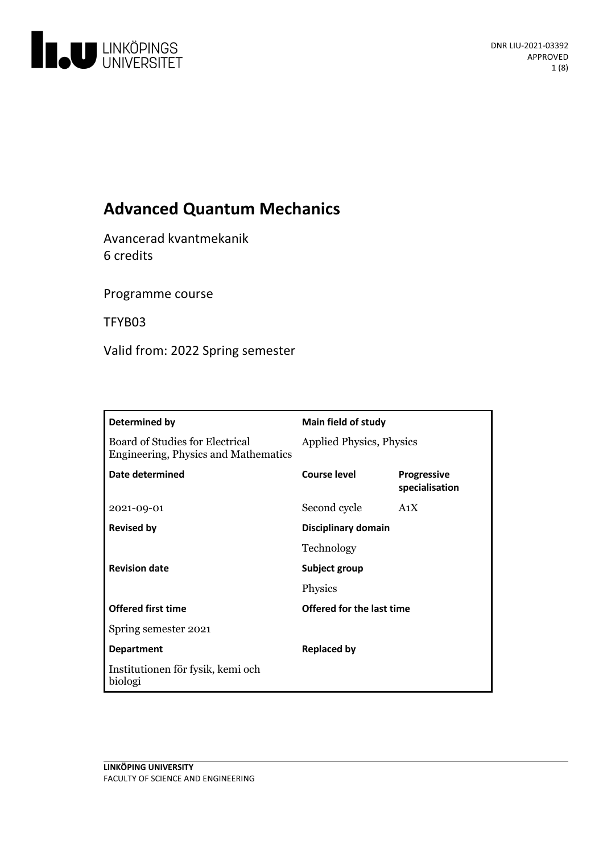

# **Advanced Quantum Mechanics**

Avancerad kvantmekanik 6 credits

Programme course

TFYB03

Valid from: 2022 Spring semester

| Determined by                                                           | <b>Main field of study</b> |                                      |
|-------------------------------------------------------------------------|----------------------------|--------------------------------------|
| Board of Studies for Electrical<br>Engineering, Physics and Mathematics | Applied Physics, Physics   |                                      |
| Date determined                                                         | Course level               | <b>Progressive</b><br>specialisation |
| 2021-09-01                                                              | Second cycle               | A <sub>1</sub> X                     |
| <b>Revised by</b>                                                       | Disciplinary domain        |                                      |
|                                                                         | Technology                 |                                      |
| <b>Revision date</b>                                                    | Subject group              |                                      |
|                                                                         | Physics                    |                                      |
| <b>Offered first time</b>                                               | Offered for the last time  |                                      |
| Spring semester 2021                                                    |                            |                                      |
| <b>Department</b>                                                       | <b>Replaced by</b>         |                                      |
| Institutionen för fysik, kemi och<br>biologi                            |                            |                                      |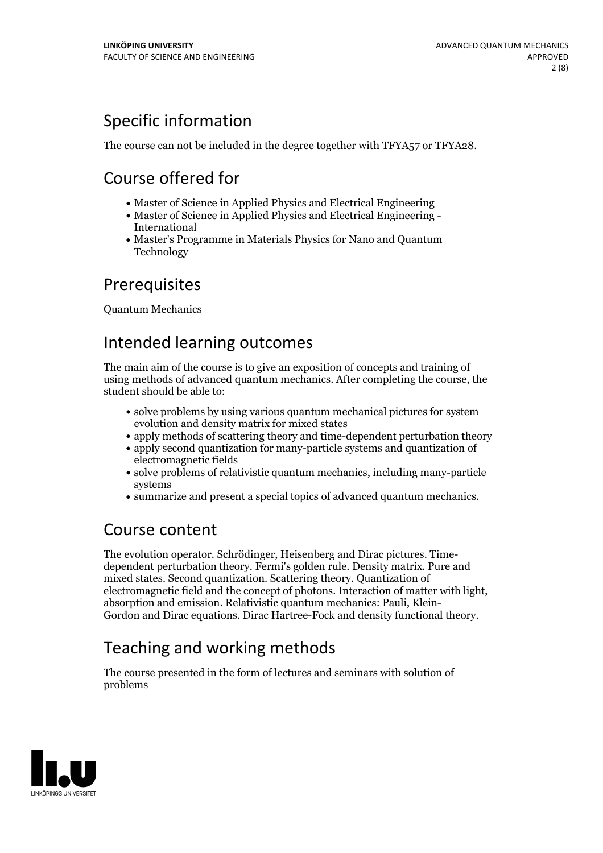# Specific information

The course can not be included in the degree together with TFYA57 or TFYA28.

# Course offered for

- Master of Science in Applied Physics and Electrical Engineering
- Master of Science in Applied Physics and Electrical Engineering International
- Master's Programme in Materials Physics for Nano and Quantum Technology

# **Prerequisites**

Quantum Mechanics

## Intended learning outcomes

The main aim of the course is to give an exposition of concepts and training of using methods of advanced quantum mechanics. After completing the course, the student should be able to:

- solve problems by using various quantum mechanical pictures for system evolution and density matrix for mixed states
- apply methods of scattering theory and time-dependent perturbation theory
- apply second quantization for many-particle systems and quantization of electromagnetic fields
- solve problems of relativistic quantum mechanics, including many-particle systems
- summarize and present a special topics of advanced quantum mechanics.

## Course content

The evolution operator. Schrödinger, Heisenberg and Dirac pictures. Time- dependent perturbation theory. Fermi's golden rule.Density matrix. Pure and mixed states. Second quantization. Scattering theory. Quantization of electromagnetic field and the concept of photons. Interaction of matter with light, absorption and emission. Relativistic quantum mechanics: Pauli, Klein-Gordon and Dirac equations. Dirac Hartree-Fock and density functiona

# Teaching and working methods

The course presented in the form of lectures and seminars with solution of problems

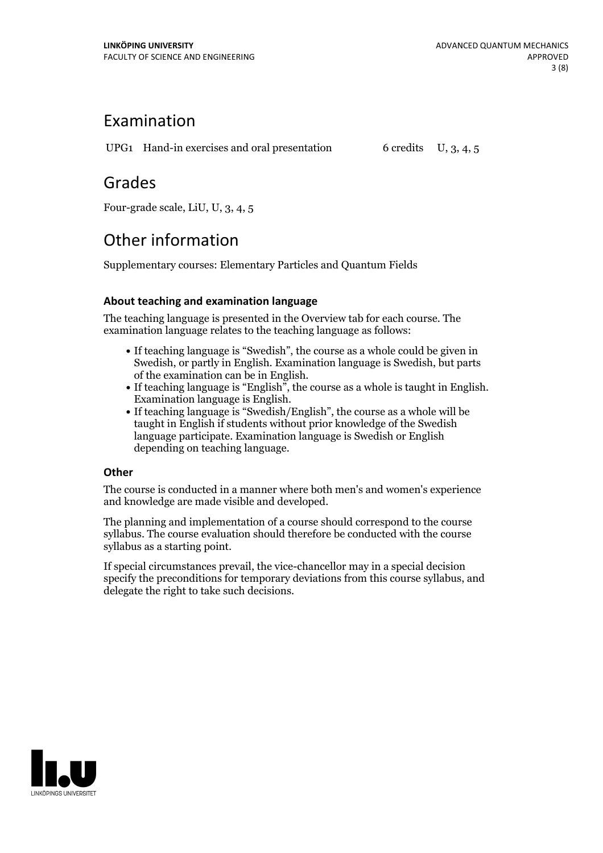## Examination

UPG1 Hand-in exercises and oral presentation  $6$  credits U, 3, 4, 5

## Grades

Four-grade scale, LiU, U, 3, 4, 5

# Other information

Supplementary courses: Elementary Particles and Quantum Fields

## **About teaching and examination language**

The teaching language is presented in the Overview tab for each course. The examination language relates to the teaching language as follows:

- If teaching language is "Swedish", the course as a whole could be given in Swedish, or partly in English. Examination language is Swedish, but parts
- of the examination can be in English. If teaching language is "English", the course as <sup>a</sup> whole is taught in English. Examination language is English. If teaching language is "Swedish/English", the course as <sup>a</sup> whole will be
- taught in English if students without prior knowledge of the Swedish language participate. Examination language is Swedish or English depending on teaching language.

### **Other**

The course is conducted in a manner where both men's and women's experience and knowledge are made visible and developed.

The planning and implementation of a course should correspond to the course syllabus. The course evaluation should therefore be conducted with the course syllabus as a starting point.

If special circumstances prevail, the vice-chancellor may in a special decision specify the preconditions for temporary deviations from this course syllabus, and delegate the right to take such decisions.

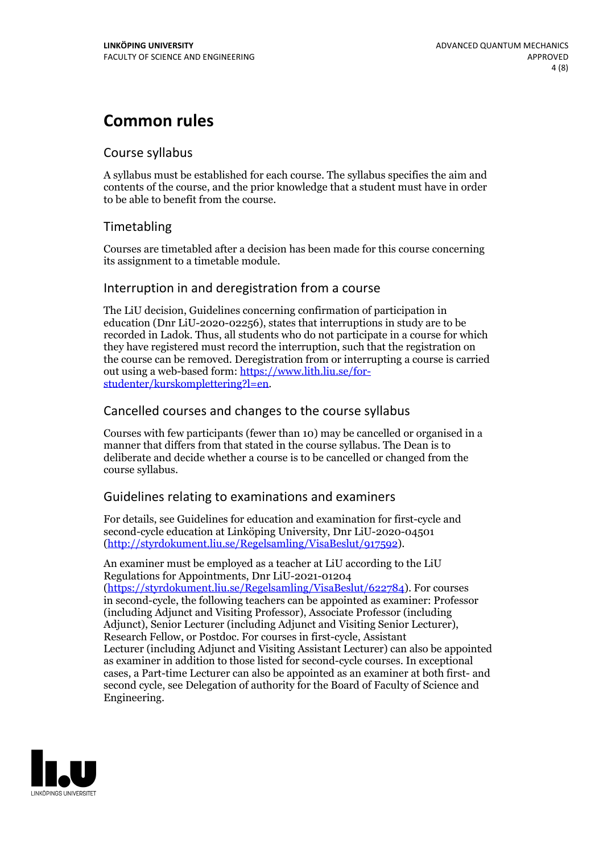## **Common rules**

## Course syllabus

A syllabus must be established for each course. The syllabus specifies the aim and contents of the course, and the prior knowledge that a student must have in order to be able to benefit from the course.

## Timetabling

Courses are timetabled after a decision has been made for this course concerning its assignment to a timetable module.

### Interruption in and deregistration from a course

The LiU decision, Guidelines concerning confirmation of participation in education (Dnr LiU-2020-02256), states that interruptions in study are to be recorded in Ladok. Thus, all students who do not participate in a course for which they have registered must record the interruption, such that the registration on the course can be removed. Deregistration from or interrupting a course is carried out using <sup>a</sup> web-based form: https://www.lith.liu.se/for- [studenter/kurskomplettering?l=en.](https://www.lith.liu.se/for-studenter/kurskomplettering?l=en)

## Cancelled courses and changes to the course syllabus

Courses with few participants (fewer than 10) may be cancelled or organised in a manner that differs from that stated in the course syllabus. The Dean is to deliberate and decide whether a course is to be cancelled or changed from the course syllabus.

## Guidelines relating to examinations and examiners

For details, see Guidelines for education and examination for first-cycle and second-cycle education at Linköping University, Dnr LiU-2020-04501 [\(http://styrdokument.liu.se/Regelsamling/VisaBeslut/917592\)](http://styrdokument.liu.se/Regelsamling/VisaBeslut/917592).

An examiner must be employed as a teacher at LiU according to the LiU Regulations for Appointments, Dnr LiU-2021-01204 [\(https://styrdokument.liu.se/Regelsamling/VisaBeslut/622784](https://styrdokument.liu.se/Regelsamling/VisaBeslut/622784)). For courses in second-cycle, the following teachers can be appointed as examiner: Professor (including Adjunct and Visiting Professor), Associate Professor (including Adjunct), Senior Lecturer (including Adjunct and Visiting Senior Lecturer), Research Fellow, or Postdoc. For courses in first-cycle, Assistant Lecturer (including Adjunct and Visiting Assistant Lecturer) can also be appointed as examiner in addition to those listed for second-cycle courses. In exceptional cases, a Part-time Lecturer can also be appointed as an examiner at both first- and second cycle, see Delegation of authority for the Board of Faculty of Science and Engineering.

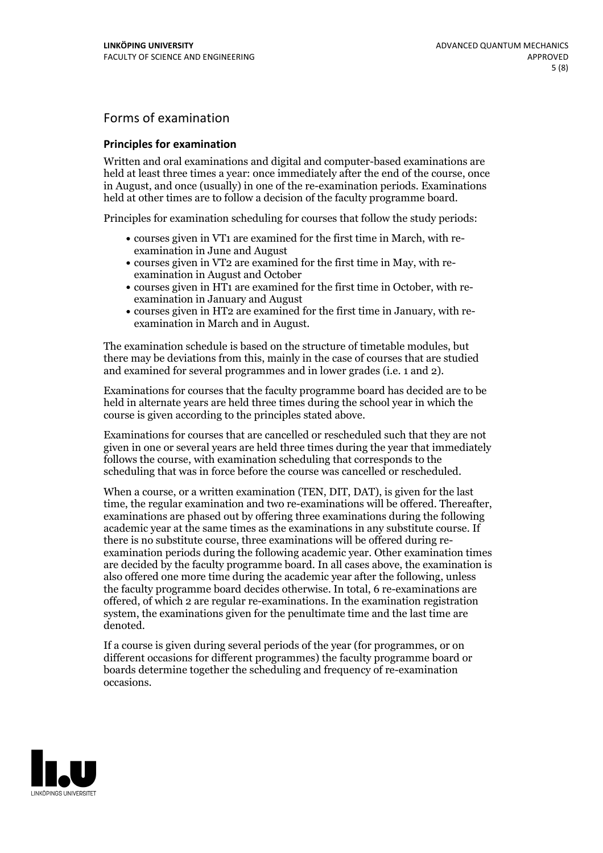## Forms of examination

### **Principles for examination**

Written and oral examinations and digital and computer-based examinations are held at least three times a year: once immediately after the end of the course, once in August, and once (usually) in one of the re-examination periods. Examinations held at other times are to follow a decision of the faculty programme board.

Principles for examination scheduling for courses that follow the study periods:

- courses given in VT1 are examined for the first time in March, with re-examination in June and August
- courses given in VT2 are examined for the first time in May, with re-examination in August and October
- courses given in HT1 are examined for the first time in October, with re-examination in January and August
- courses given in HT2 are examined for the first time in January, with re-examination in March and in August.

The examination schedule is based on the structure of timetable modules, but there may be deviations from this, mainly in the case of courses that are studied and examined for several programmes and in lower grades (i.e. 1 and 2).

Examinations for courses that the faculty programme board has decided are to be held in alternate years are held three times during the school year in which the course is given according to the principles stated above.

Examinations for courses that are cancelled orrescheduled such that they are not given in one or several years are held three times during the year that immediately follows the course, with examination scheduling that corresponds to the scheduling that was in force before the course was cancelled or rescheduled.

When a course, or a written examination (TEN, DIT, DAT), is given for the last time, the regular examination and two re-examinations will be offered. Thereafter, examinations are phased out by offering three examinations during the following academic year at the same times as the examinations in any substitute course. If there is no substitute course, three examinations will be offered during re- examination periods during the following academic year. Other examination times are decided by the faculty programme board. In all cases above, the examination is also offered one more time during the academic year after the following, unless the faculty programme board decides otherwise. In total, 6 re-examinations are offered, of which 2 are regular re-examinations. In the examination registration system, the examinations given for the penultimate time and the last time are denoted.

If a course is given during several periods of the year (for programmes, or on different occasions for different programmes) the faculty programme board or boards determine together the scheduling and frequency of re-examination occasions.

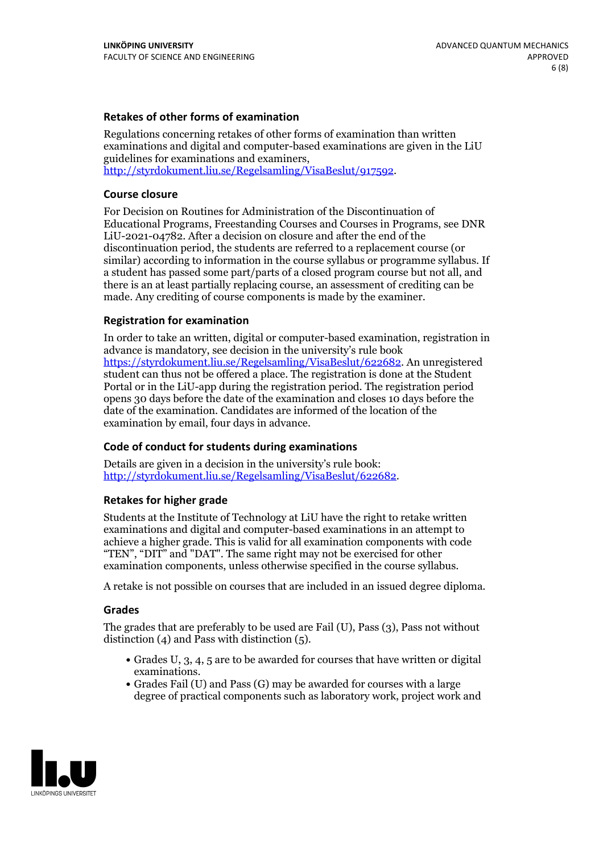### **Retakes of other forms of examination**

Regulations concerning retakes of other forms of examination than written examinations and digital and computer-based examinations are given in the LiU guidelines for examinations and examiners, [http://styrdokument.liu.se/Regelsamling/VisaBeslut/917592.](http://styrdokument.liu.se/Regelsamling/VisaBeslut/917592)

#### **Course closure**

For Decision on Routines for Administration of the Discontinuation of Educational Programs, Freestanding Courses and Courses in Programs, see DNR LiU-2021-04782. After a decision on closure and after the end of the discontinuation period, the students are referred to a replacement course (or similar) according to information in the course syllabus or programme syllabus. If a student has passed some part/parts of a closed program course but not all, and there is an at least partially replacing course, an assessment of crediting can be made. Any crediting of course components is made by the examiner.

#### **Registration for examination**

In order to take an written, digital or computer-based examination, registration in advance is mandatory, see decision in the university's rule book [https://styrdokument.liu.se/Regelsamling/VisaBeslut/622682.](https://styrdokument.liu.se/Regelsamling/VisaBeslut/622682) An unregistered student can thus not be offered a place. The registration is done at the Student Portal or in the LiU-app during the registration period. The registration period opens 30 days before the date of the examination and closes 10 days before the date of the examination. Candidates are informed of the location of the examination by email, four days in advance.

#### **Code of conduct for students during examinations**

Details are given in a decision in the university's rule book: <http://styrdokument.liu.se/Regelsamling/VisaBeslut/622682>.

#### **Retakes for higher grade**

Students at the Institute of Technology at LiU have the right to retake written examinations and digital and computer-based examinations in an attempt to achieve a higher grade. This is valid for all examination components with code "TEN", "DIT" and "DAT". The same right may not be exercised for other examination components, unless otherwise specified in the course syllabus.

A retake is not possible on courses that are included in an issued degree diploma.

#### **Grades**

The grades that are preferably to be used are Fail (U), Pass (3), Pass not without distinction  $(4)$  and Pass with distinction  $(5)$ .

- Grades U, 3, 4, 5 are to be awarded for courses that have written or digital examinations.<br>• Grades Fail (U) and Pass (G) may be awarded for courses with a large
- degree of practical components such as laboratory work, project work and

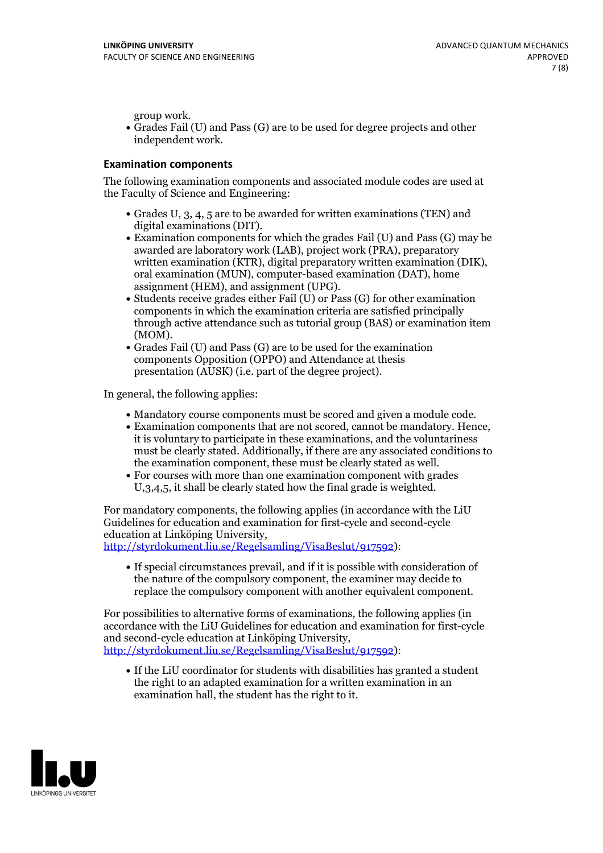group work.<br>• Grades Fail (U) and Pass (G) are to be used for degree projects and other independent work.

### **Examination components**

The following examination components and associated module codes are used at the Faculty of Science and Engineering:

- Grades U, 3, 4, 5 are to be awarded for written examinations (TEN) and
- digital examinations (DIT).<br>• Examination components for which the grades Fail (U) and Pass (G) may be awarded are laboratory work (LAB), project work (PRA), preparatory written examination (KTR), digital preparatory written examination (DIK), oral examination (MUN), computer-based examination (DAT), home
- assignment (HEM), and assignment (UPG).<br>• Students receive grades either Fail (U) or Pass (G) for other examination components in which the examination criteria are satisfied principally through active attendance such as tutorial group (BAS) or examination item
- (MOM).<br>• Grades Fail (U) and Pass (G) are to be used for the examination components Opposition (OPPO) and Attendance at thesis presentation (AUSK) (i.e. part of the degree project).

In general, the following applies:

- 
- Mandatory course components must be scored and given <sup>a</sup> module code. Examination components that are not scored, cannot be mandatory. Hence, it is voluntary to participate in these examinations, and the voluntariness must be clearly stated. Additionally, if there are any associated conditions to
- the examination component, these must be clearly stated as well.<br>• For courses with more than one examination component with grades U,3,4,5, it shall be clearly stated how the final grade is weighted.

For mandatory components, the following applies (in accordance with the LiU Guidelines for education and examination for first-cycle and second-cycle education at Linköping University,<br>[http://styrdokument.liu.se/Regelsamling/VisaBeslut/917592\)](http://styrdokument.liu.se/Regelsamling/VisaBeslut/917592):

If special circumstances prevail, and if it is possible with consideration of the nature of the compulsory component, the examiner may decide to replace the compulsory component with another equivalent component.

For possibilities to alternative forms of examinations, the following applies (in accordance with the LiU Guidelines for education and examination for first-cycle [http://styrdokument.liu.se/Regelsamling/VisaBeslut/917592\)](http://styrdokument.liu.se/Regelsamling/VisaBeslut/917592):

If the LiU coordinator for students with disabilities has granted a student the right to an adapted examination for a written examination in an examination hall, the student has the right to it.